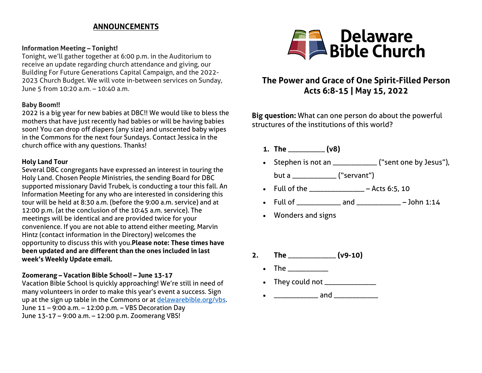### **ANNOUNCEMENTS**

#### **Information Meeting – Tonight!**

Tonight, we'll gather together at 6:00 p.m. in the Auditorium to receive an update regarding church attendance and giving, our Building For Future Generations Capital Campaign, and the 2022- 2023 Church Budget. We will vote in-between services on Sunday, June 5 from 10:20 a.m. – 10:40 a.m.

#### **Baby Boom!!**

2022 is a big year for new babies at DBC!! We would like to bless the mothers that have just recently had babies or will be having babies soon! You can drop off diapers (any size) and unscented baby wipes in the Commons for the next four Sundays. Contact Jessica in the church office with any questions. Thanks!

### **Holy Land Tour**

Several DBC congregants have expressed an interest in touring the Holy Land. Chosen People Ministries, the sending Board for DBC supported missionary David Trubek, is conducting a tour this fall. An Information Meeting for any who are interested in considering this tour will be held at 8:30 a.m. (before the 9:00 a.m. service) and at 12:00 p.m. (at the conclusion of the 10:45 a.m. service). The meetings will be identical and are provided twice for your convenience. If you are not able to attend either meeting, Marvin Hintz (contact information in the Directory) welcomes the opportunity to discuss this with you.**Please note: These times have been updated and are different than the ones included in last week's Weekly Update email.**

### **Zoomerang – Vacation Bible School! – June 13-17**

Vacation Bible School is quickly approaching! We're still in need of many volunteers in order to make this year's event a success. Sign up at the sign up table in the Commons or at [delawarebible.org/vbs.](http://delawarebible.org/vbs) June 11 – 9:00 a.m. – 12:00 p.m. – VBS Decoration Day June 13-17 – 9:00 a.m. – 12:00 p.m. Zoomerang VBS!



# **The Power and Grace of One Spirit-Filled Person Acts 6:8-15 | May 15, 2022**

**Big question:** What can one person do about the powerful structures of the institutions of this world?

- **1. The** \_\_\_\_\_\_\_\_\_\_ **(v8)**
- Stephen is not an \_\_\_\_\_\_\_\_\_\_\_\_ ("sent one by Jesus"), but a \_\_\_\_\_\_\_\_\_\_\_\_ ("servant")
- Full of the \_\_\_\_\_\_\_\_\_\_\_\_\_\_\_\_ Acts 6:5, 10
- Full of \_\_\_\_\_\_\_\_\_\_\_\_ and \_\_\_\_\_\_\_\_\_\_\_\_ John 1:14
- Wonders and signs
- **2. The** \_\_\_\_\_\_\_\_\_\_\_\_\_ **(v9-10)**
	- The  $\blacksquare$
	- They could not \_\_\_\_\_\_\_\_\_\_\_\_\_\_
	- $\bullet$   $\qquad \qquad \bullet$   $\qquad \qquad \bullet$   $\qquad \qquad \bullet$   $\qquad \qquad \bullet$